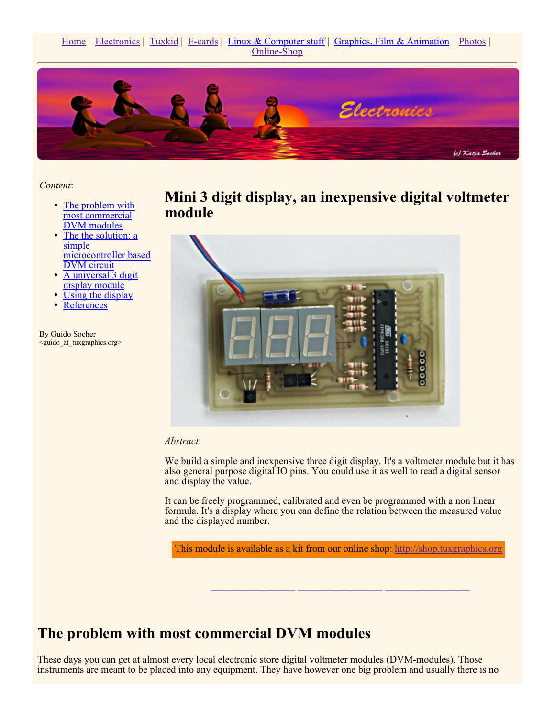Home | Electronics | Tuxkid | E-cards | Linux & Computer stuff | Graphics, Film & Animation | Photos | Online-Shop



*Content*:

- The problem with most commercial DVM modules
- The the solution: a simple microcontroller based DVM circuit
- A universal 3 digit display module
- Using the display
- **References**

By Guido Socher <guido\_at\_tuxgraphics.org> **Mini 3 digit display, an inexpensive digital voltmeter module** 



*Abstract*:

We build a simple and inexpensive three digit display. It's a voltmeter module but it has also general purpose digital IO pins. You could use it as well to read a digital sensor and display the value.

It can be freely programmed, calibrated and even be programmed with a non linear formula. It's a display where you can define the relation between the measured value and the displayed number.

This module is available as a kit from our online shop: http://shop.tuxgraphics.org

**\_\_\_\_\_\_\_\_\_\_\_\_\_\_\_\_\_ \_\_\_\_\_\_\_\_\_\_\_\_\_\_\_\_\_ \_\_\_\_\_\_\_\_\_\_\_\_\_\_\_\_\_**

### **The problem with most commercial DVM modules**

These days you can get at almost every local electronic store digital voltmeter modules (DVM-modules). Those instruments are meant to be placed into any equipment. They have however one big problem and usually there is no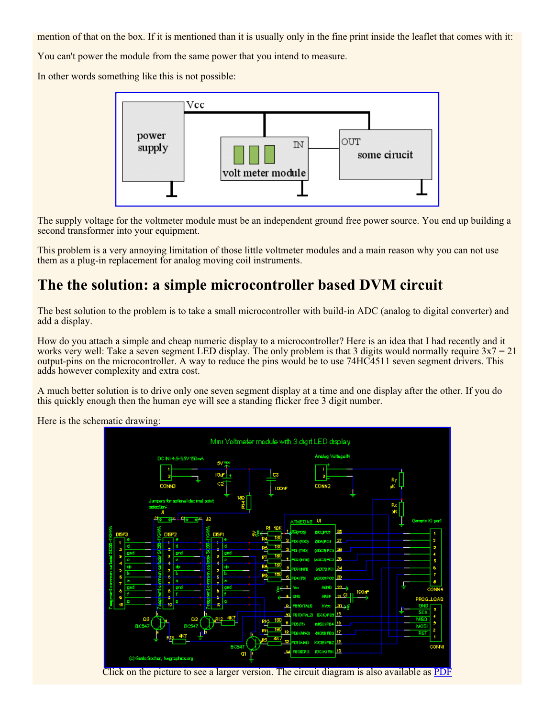mention of that on the box. If it is mentioned than it is usually only in the fine print inside the leaflet that comes with it:

You can't power the module from the same power that you intend to measure.

In other words something like this is not possible:



The supply voltage for the voltmeter module must be an independent ground free power source. You end up building a second transformer into your equipment.

This problem is a very annoying limitation of those little voltmeter modules and a main reason why you can not use them as a plug-in replacement for analog moving coil instruments.

## **The the solution: a simple microcontroller based DVM circuit**

The best solution to the problem is to take a small microcontroller with build-in ADC (analog to digital converter) and add a display.

How do you attach a simple and cheap numeric display to a microcontroller? Here is an idea that I had recently and it works very well: Take a seven segment LED display. The only problem is that 3 digits would normally require  $3x7 = 21$ output-pins on the microcontroller. A way to reduce the pins would be to use 74HC4511 seven segment drivers. This adds however complexity and extra cost.

A much better solution is to drive only one seven segment display at a time and one display after the other. If you do this quickly enough then the human eye will see a standing flicker free 3 digit number.

Here is the schematic drawing:



Click on the picture to see a larger version. The circuit diagram is also available as PDF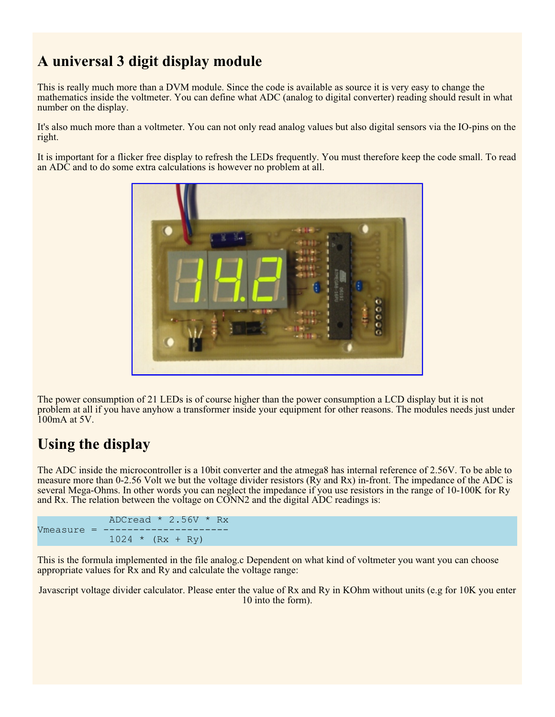# **A universal 3 digit display module**

This is really much more than a DVM module. Since the code is available as source it is very easy to change the mathematics inside the voltmeter. You can define what ADC (analog to digital converter) reading should result in what number on the display.

It's also much more than a voltmeter. You can not only read analog values but also digital sensors via the IO-pins on the right.

It is important for a flicker free display to refresh the LEDs frequently. You must therefore keep the code small. To read an ADC and to do some extra calculations is however no problem at all.



The power consumption of 21 LEDs is of course higher than the power consumption a LCD display but it is not problem at all if you have anyhow a transformer inside your equipment for other reasons. The modules needs just under 100mA at 5V.

## **Using the display**

The ADC inside the microcontroller is a 10bit converter and the atmega8 has internal reference of 2.56V. To be able to measure more than 0-2.56 Volt we but the voltage divider resistors (Ry and Rx) in-front. The impedance of the ADC is several Mega-Ohms. In other words you can neglect the impedance if you use resistors in the range of 10-100K for Ry and Rx. The relation between the voltage on CONN2 and the digital ADC readings is:

```
ADCread * 2.56V * Rx
Vmeasure =1024 * (Rx + Ry)
```
This is the formula implemented in the file analog.c Dependent on what kind of voltmeter you want you can choose appropriate values for Rx and Ry and calculate the voltage range:

Javascript voltage divider calculator. Please enter the value of Rx and Ry in KOhm without units (e.g for 10K you enter 10 into the form).